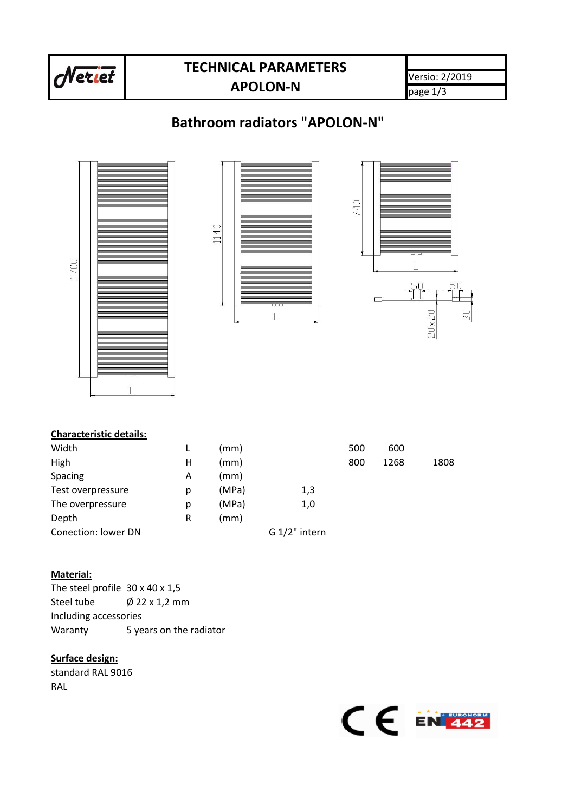

# **TECHNICAL PARAMETERS APOLON-N**

Versio: 2/2019 page 1/3

# **Bathroom radiators "APOLON-N"**



## **Characteristic details:**

| Width               |   | (mm)  |                 | 500 | 600  |      |
|---------------------|---|-------|-----------------|-----|------|------|
| High                | н | (mm)  |                 | 800 | 1268 | 1808 |
| Spacing             | А | (mm)  |                 |     |      |      |
| Test overpressure   | p | (MPa) | 1,3             |     |      |      |
| The overpressure    | p | (MPa) | 1,0             |     |      |      |
| Depth               | R | (mm)  |                 |     |      |      |
| Conection: lower DN |   |       | $G 1/2"$ intern |     |      |      |

## **Material:**

The steel profile 30 x 40 x 1,5 Steel tube  $\emptyset$  22 x 1,2 mm Including accessories Waranty 5 years on the radiator

## **Surface design:**

standard RAL 9016 RAL

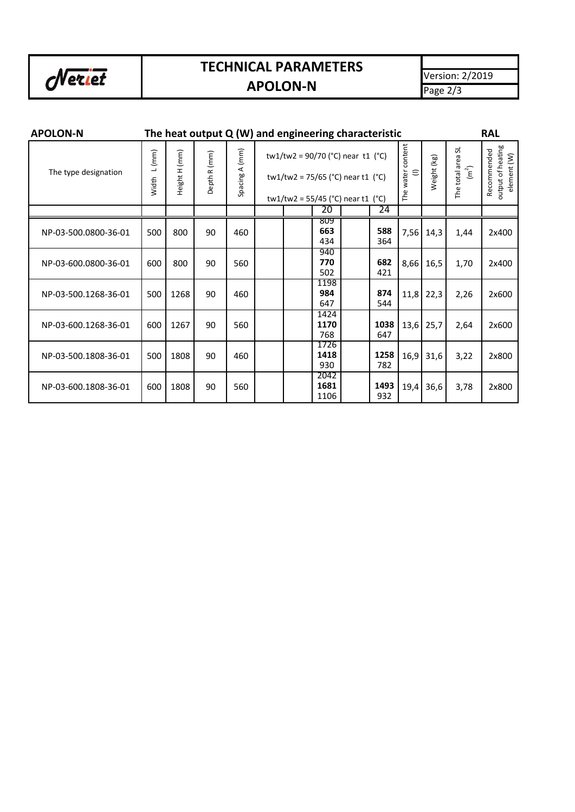

# **TECHNICAL PARAMETERS**

Version: 2/2019 Page 2/3

#### **APOLON-N The heat output Q (W) and engineering characteristic RAL** The water content<br>(I) Recommended<br>output of heating<br>element (W) The water content output of heating The total area SL The total area SL Spacing A (mm) Recommended Width L(mm) Height H (mm) Spacing A (mm) tw1/tw2 = 90/70 (°C) near t1 (°C) Width L (mm) Height H (mm) Depth R (mm) Depth R (mm) Weight (kg)  $\left(\overline{m}^2\right)$ The type designation tw1/tw2 = 75/65 (°C) near t1 (°C) tw1/tw2 =  $55/45$  (°C) near t1 (°C) 20 | 24 809 **663 588** NP-03-500.0800-36-01 | 500 | 800 | 90 | 460 | | | | | | | | | | | | | 588 | 7,56 | 14,3 800 7,56 1,44 2x400 434 940 NP-03-600.0800-36-01 | 600 | 800 | 90 | 560 | | | | | | 770 | | | | | 682 | 8.66 | 16.5 | 1.70  $\begin{array}{|c|c|c|}\n\hline\n502 & 682 \\
\hline\n421\n\end{array}$ 2x400 502 1198 NP-03-500.1268-36-01 500 1268 90 460 11,8 22,3 2,26 2x600 **984 874**<br>647 **874** 647 1424 NP-03-600.1268-36-01 600 **1170 1038** 25,7 2,64 2x600 1267 90 560 1170 1038 13,6 768 647 1726 NP-03-500.1808-36-01 | 500 | 1808 | 90 **1418 1258** 3,22 2x800 460 16,9 31,6 930 2042 NP-03-600.1808-36-01 600 1808 90 560 **1681 1493** 19,4 36,6 3,78 2x800 1106

# **APOLON-N**